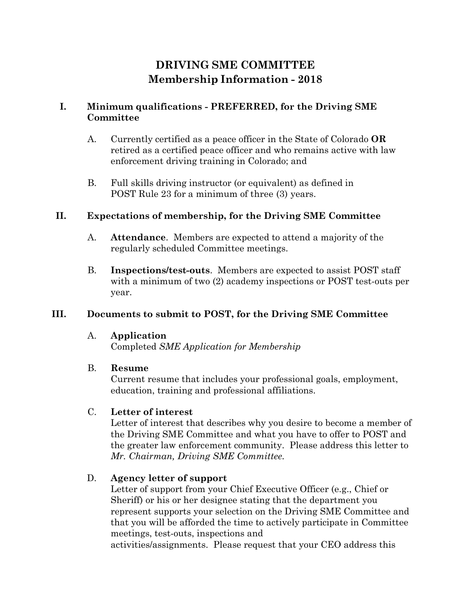# **DRIVING SME COMMITTEE Membership Information - 2018**

### **I. Minimum qualifications - PREFERRED, for the Driving SME Committee**

- A. Currently certified as a peace officer in the State of Colorado **OR** retired as a certified peace officer and who remains active with law enforcement driving training in Colorado; and
- B. Full skills driving instructor (or equivalent) as defined in POST Rule 23 for a minimum of three (3) years.

#### **II. Expectations of membership, for the Driving SME Committee**

- A. **Attendance**. Members are expected to attend a majority of the regularly scheduled Committee meetings.
- B. **Inspections/test-outs**. Members are expected to assist POST staff with a minimum of two (2) academy inspections or POST test-outs per year.

### **III. Documents to submit to POST, for the Driving SME Committee**

#### A. **Application**

Completed *[SME Application for Membership](https://coloradopost.gov/sites/default/files/post/SME/2018_sme_application_fillable.pdf)*

### B. **Resume**

Current resume that includes your professional goals, employment, education, training and professional affiliations.

### C. **Letter of interest**

Letter of interest that describes why you desire to become a member of the Driving SME Committee and what you have to offer to POST and the greater law enforcement community. Please address this letter to *Mr. Chairman, Driving SME Committee.*

### D. **Agency letter of support**

Letter of support from your Chief Executive Officer (e.g., Chief or Sheriff) or his or her designee stating that the department you represent supports your selection on the Driving SME Committee and that you will be afforded the time to actively participate in Committee meetings, test-outs, inspections and activities/assignments. Please request that your CEO address this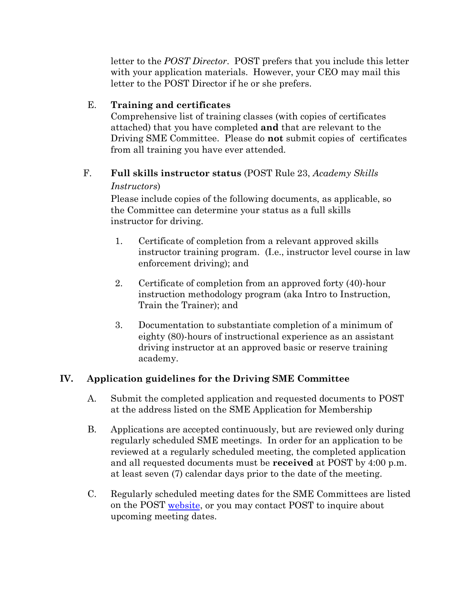letter to the *POST Director*. POST prefers that you include this letter with your application materials. However, your CEO may mail this letter to the POST Director if he or she prefers.

## E. **Training and certificates**

Comprehensive list of training classes (with copies of certificates attached) that you have completed **and** that are relevant to the Driving SME Committee. Please do **not** submit copies of certificates from all training you have ever attended.

#### F. **Full skills instructor status** (POST Rule 23, *Academy Skills Instructors*)

Please include copies of the following documents, as applicable, so the Committee can determine your status as a full skills instructor for driving.

- 1. Certificate of completion from a relevant approved skills instructor training program. (I.e., instructor level course in law enforcement driving); and
- 2. Certificate of completion from an approved forty (40)-hour instruction methodology program (aka Intro to Instruction, Train the Trainer); and
- 3. Documentation to substantiate completion of a minimum of eighty (80)-hours of instructional experience as an assistant driving instructor at an approved basic or reserve training academy.

# **IV. Application guidelines for the Driving SME Committee**

- A. Submit the completed application and requested documents to POST at the address listed on the [SME Application for Membership](https://coloradopost.gov/sites/default/files/post/SME/2018_sme_application_fillable.pdf)
- B. Applications are accepted continuously, but are reviewed only during regularly scheduled SME meetings. In order for an application to be reviewed at a regularly scheduled meeting, the completed application and all requested documents must be **received** at POST by 4:00 p.m. at least seven (7) calendar days prior to the date of the meeting.
- C. Regularly scheduled meeting dates for the SME Committees are listed on the POST [website,](http://www.coloradopost.gov/about-post/sme-committees) or you may contact POST to inquire about upcoming meeting dates.